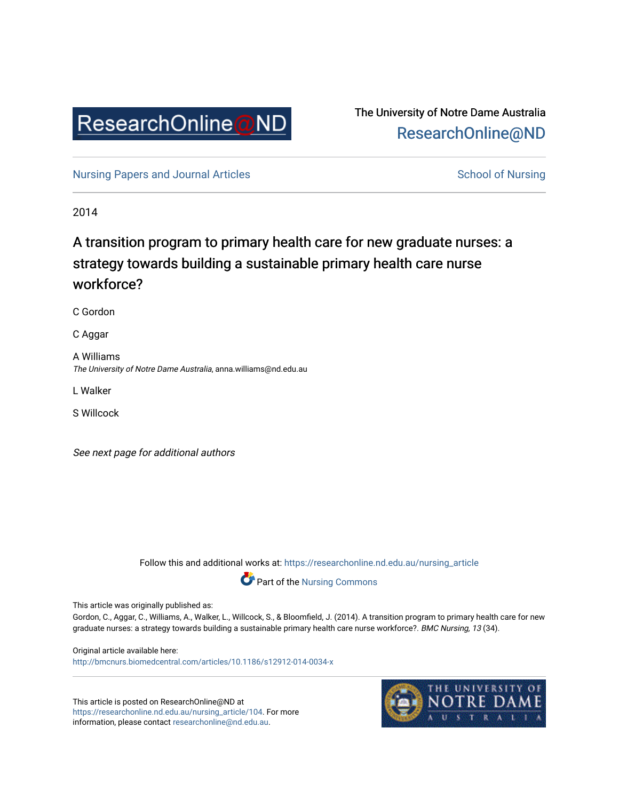

# The University of Notre Dame Australia [ResearchOnline@ND](https://researchonline.nd.edu.au/)

[Nursing Papers and Journal Articles](https://researchonline.nd.edu.au/nursing_article) **School of Nursing** School of Nursing

2014

# A transition program to primary health care for new graduate nurses: a strategy towards building a sustainable primary health care nurse workforce?

C Gordon

C Aggar

A Williams The University of Notre Dame Australia, anna.williams@nd.edu.au

L Walker

S Willcock

See next page for additional authors

Follow this and additional works at: [https://researchonline.nd.edu.au/nursing\\_article](https://researchonline.nd.edu.au/nursing_article?utm_source=researchonline.nd.edu.au%2Fnursing_article%2F104&utm_medium=PDF&utm_campaign=PDFCoverPages) 



This article was originally published as:

Gordon, C., Aggar, C., Williams, A., Walker, L., Willcock, S., & Bloomfield, J. (2014). A transition program to primary health care for new graduate nurses: a strategy towards building a sustainable primary health care nurse workforce?. BMC Nursing, 13 (34).

Original article available here: <http://bmcnurs.biomedcentral.com/articles/10.1186/s12912-014-0034-x>

This article is posted on ResearchOnline@ND at [https://researchonline.nd.edu.au/nursing\\_article/104.](https://researchonline.nd.edu.au/nursing_article/104) For more information, please contact [researchonline@nd.edu.au.](mailto:researchonline@nd.edu.au)

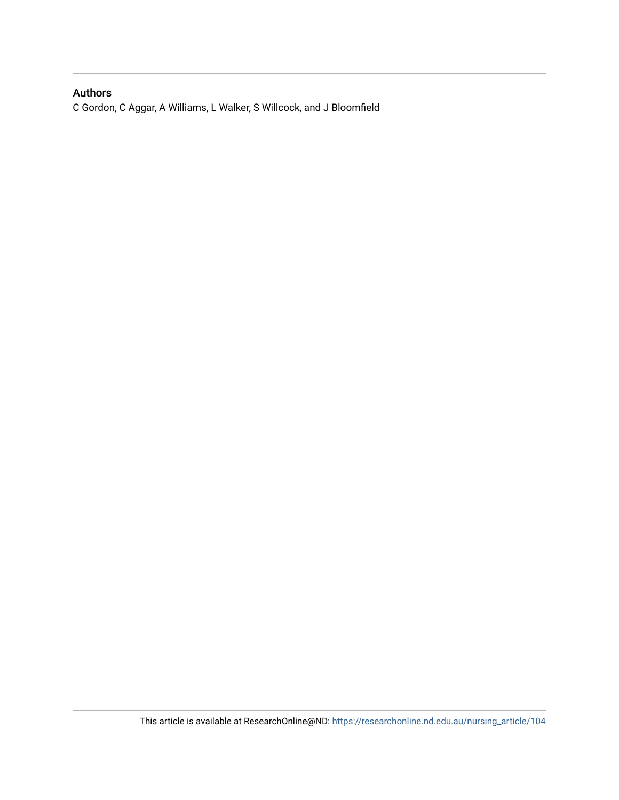## Authors

C Gordon, C Aggar, A Williams, L Walker, S Willcock, and J Bloomfield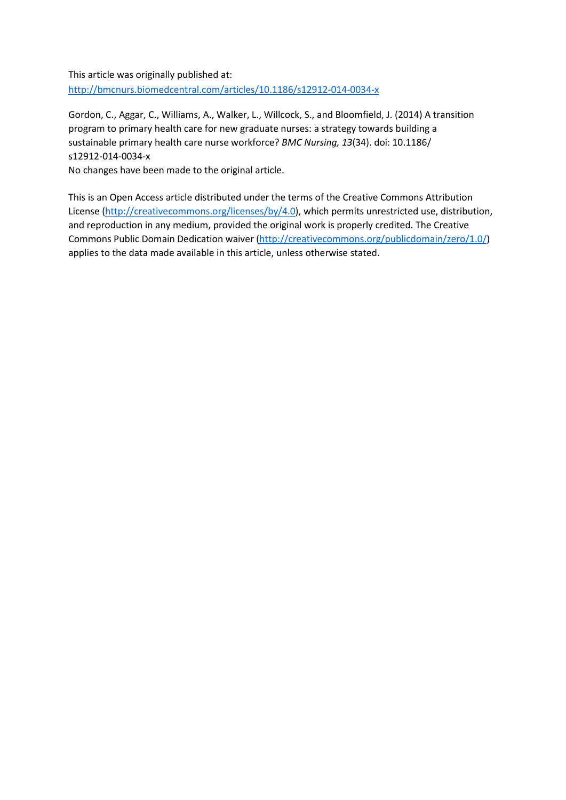This article was originally published at: <http://bmcnurs.biomedcentral.com/articles/10.1186/s12912-014-0034-x>

Gordon, C., Aggar, C., Williams, A., Walker, L., Willcock, S., and Bloomfield, J. (2014) A transition program to primary health care for new graduate nurses: a strategy towards building a sustainable primary health care nurse workforce? *BMC Nursing, 13*(34). doi: 10.1186/ s12912-014-0034-x

No changes have been made to the original article.

This is an Open Access article distributed under the terms of the Creative Commons Attribution License [\(http://creativecommons.org/licenses/by/4.0\)](http://creativecommons.org/licenses/by/4.0), which permits unrestricted use, distribution, and reproduction in any medium, provided the original work is properly credited. The Creative Commons Public Domain Dedication waiver [\(http://creativecommons.org/publicdomain/zero/1.0/\)](http://creativecommons.org/publicdomain/zero/1.0/) applies to the data made available in this article, unless otherwise stated.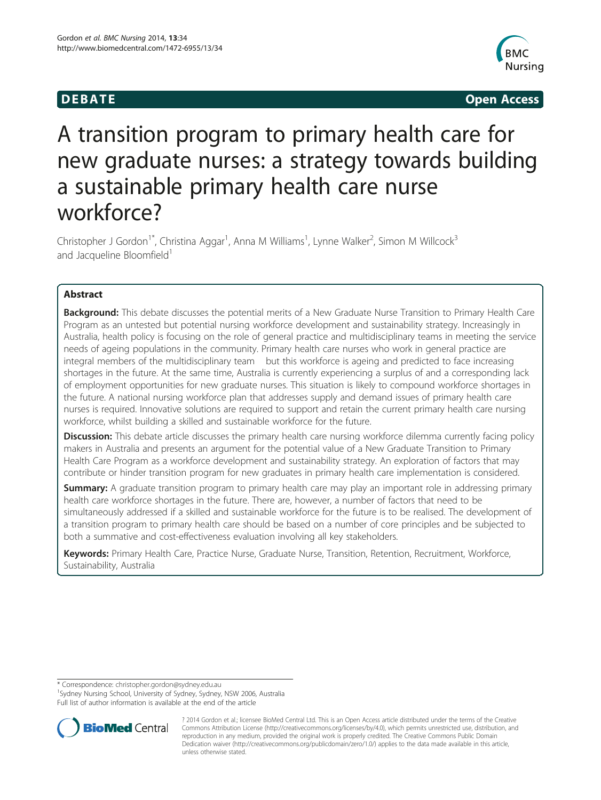

**DEBATE CONSIDERENT CONSIDERED ACCESS** 

# A transition program to primary health care for new graduate nurses: a strategy towards building a sustainable primary health care nurse workforce?

Christopher J Gordon<sup>1\*</sup>, Christina Aggar<sup>1</sup>, Anna M Williams<sup>1</sup>, Lynne Walker<sup>2</sup>, Simon M Willcock<sup>3</sup> and Jacqueline Bloomfield<sup>1</sup>

### Abstract

Background: This debate discusses the potential merits of a New Graduate Nurse Transition to Primary Health Care Program as an untested but potential nursing workforce development and sustainability strategy. Increasingly in Australia, health policy is focusing on the role of general practice and multidisciplinary teams in meeting the service needs of ageing populations in the community. Primary health care nurses who work in general practice are integral members of the multidisciplinary team but this workforce is ageing and predicted to face increasing shortages in the future. At the same time, Australia is currently experiencing a surplus of and a corresponding lack of employment opportunities for new graduate nurses. This situation is likely to compound workforce shortages in the future. A national nursing workforce plan that addresses supply and demand issues of primary health care nurses is required. Innovative solutions are required to support and retain the current primary health care nursing workforce, whilst building a skilled and sustainable workforce for the future.

Discussion: This debate article discusses the primary health care nursing workforce dilemma currently facing policy makers in Australia and presents an argument for the potential value of a New Graduate Transition to Primary Health Care Program as a workforce development and sustainability strategy. An exploration of factors that may contribute or hinder transition program for new graduates in primary health care implementation is considered.

**Summary:** A graduate transition program to primary health care may play an important role in addressing primary health care workforce shortages in the future. There are, however, a number of factors that need to be simultaneously addressed if a skilled and sustainable workforce for the future is to be realised. The development of a transition program to primary health care should be based on a number of core principles and be subjected to both a summative and cost-effectiveness evaluation involving all key stakeholders.

Keywords: Primary Health Care, Practice Nurse, Graduate Nurse, Transition, Retention, Recruitment, Workforce, Sustainability, Australia

\* Correspondence: [christopher.gordon@sydney.edu.au](mailto:christopher.gordon@sydney.edu.au) <sup>1</sup>

<sup>&</sup>lt;sup>1</sup> Sydney Nursing School, University of Sydney, Sydney, NSW 2006, Australia Full list of author information is available at the end of the article



<sup>? 2014</sup> Gordon et al.; licensee BioMed Central Ltd. This is an Open Access article distributed under the terms of the Creative Commons Attribution License [\(http://creativecommons.org/licenses/by/4.0\)](http://creativecommons.org/licenses/by/4.0), which permits unrestricted use, distribution, and reproduction in any medium, provided the original work is properly credited. The Creative Commons Public Domain Dedication waiver [\(http://creativecommons.org/publicdomain/zero/1.0/](http://creativecommons.org/publicdomain/zero/1.0/)) applies to the data made available in this article, unless otherwise stated.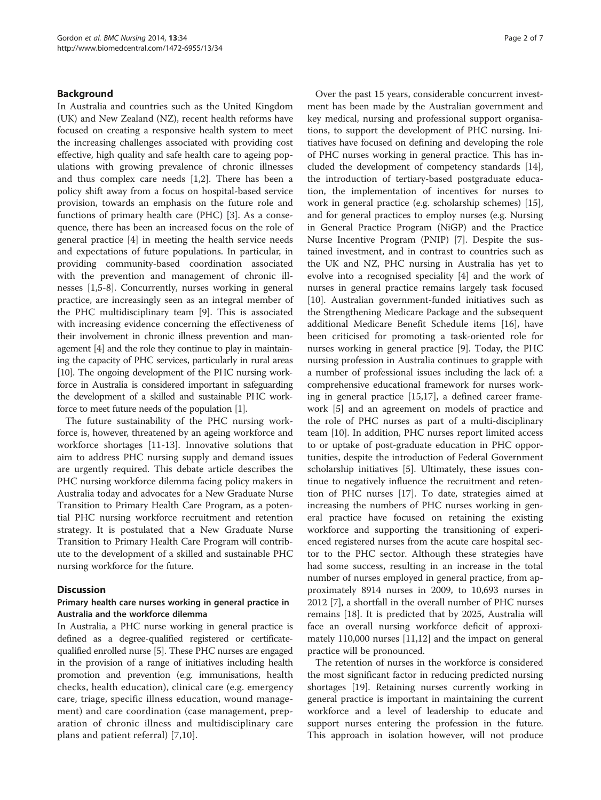#### Background

In Australia and countries such as the United Kingdom (UK) and New Zealand (NZ), recent health reforms have focused on creating a responsive health system to meet the increasing challenges associated with providing cost effective, high quality and safe health care to ageing populations with growing prevalence of chronic illnesses and thus complex care needs [[1,2\]](#page-9-0). There has been a policy shift away from a focus on hospital-based service provision, towards an emphasis on the future role and functions of primary health care (PHC) [[3\]](#page-9-0). As a consequence, there has been an increased focus on the role of general practice [\[4](#page-9-0)] in meeting the health service needs and expectations of future populations. In particular, in providing community-based coordination associated with the prevention and management of chronic illnesses [[1,5-8](#page-9-0)]. Concurrently, nurses working in general practice, are increasingly seen as an integral member of the PHC multidisciplinary team [\[9](#page-9-0)]. This is associated with increasing evidence concerning the effectiveness of their involvement in chronic illness prevention and management [[4\]](#page-9-0) and the role they continue to play in maintaining the capacity of PHC services, particularly in rural areas [[10](#page-9-0)]. The ongoing development of the PHC nursing workforce in Australia is considered important in safeguarding the development of a skilled and sustainable PHC workforce to meet future needs of the population [[1](#page-9-0)].

The future sustainability of the PHC nursing workforce is, however, threatened by an ageing workforce and workforce shortages [\[11-13](#page-9-0)]. Innovative solutions that aim to address PHC nursing supply and demand issues are urgently required. This debate article describes the PHC nursing workforce dilemma facing policy makers in Australia today and advocates for a New Graduate Nurse Transition to Primary Health Care Program, as a potential PHC nursing workforce recruitment and retention strategy. It is postulated that a New Graduate Nurse Transition to Primary Health Care Program will contribute to the development of a skilled and sustainable PHC nursing workforce for the future.

#### **Discussion**

#### Primary health care nurses working in general practice in Australia and the workforce dilemma

In Australia, a PHC nurse working in general practice is defined as a degree-qualified registered or certificatequalified enrolled nurse [\[5\]](#page-9-0). These PHC nurses are engaged in the provision of a range of initiatives including health promotion and prevention (e.g. immunisations, health checks, health education), clinical care (e.g. emergency care, triage, specific illness education, wound management) and care coordination (case management, preparation of chronic illness and multidisciplinary care plans and patient referral) [[7,10](#page-9-0)].

Over the past 15 years, considerable concurrent investment has been made by the Australian government and key medical, nursing and professional support organisations, to support the development of PHC nursing. Initiatives have focused on defining and developing the role of PHC nurses working in general practice. This has included the development of competency standards [\[14](#page-9-0)], the introduction of tertiary-based postgraduate education, the implementation of incentives for nurses to work in general practice (e.g. scholarship schemes) [\[15](#page-9-0)], and for general practices to employ nurses (e.g. Nursing in General Practice Program (NiGP) and the Practice Nurse Incentive Program (PNIP) [\[7](#page-9-0)]. Despite the sustained investment, and in contrast to countries such as the UK and NZ, PHC nursing in Australia has yet to evolve into a recognised speciality [[4\]](#page-9-0) and the work of nurses in general practice remains largely task focused [[10\]](#page-9-0). Australian government-funded initiatives such as the Strengthening Medicare Package and the subsequent additional Medicare Benefit Schedule items [[16\]](#page-9-0), have been criticised for promoting a task-oriented role for nurses working in general practice [\[9](#page-9-0)]. Today, the PHC nursing profession in Australia continues to grapple with a number of professional issues including the lack of: a comprehensive educational framework for nurses working in general practice [[15](#page-9-0),[17](#page-9-0)], a defined career framework [[5\]](#page-9-0) and an agreement on models of practice and the role of PHC nurses as part of a multi-disciplinary team [\[10](#page-9-0)]. In addition, PHC nurses report limited access to or uptake of post-graduate education in PHC opportunities, despite the introduction of Federal Government scholarship initiatives [\[5](#page-9-0)]. Ultimately, these issues continue to negatively influence the recruitment and retention of PHC nurses [[17\]](#page-9-0). To date, strategies aimed at increasing the numbers of PHC nurses working in general practice have focused on retaining the existing workforce and supporting the transitioning of experienced registered nurses from the acute care hospital sector to the PHC sector. Although these strategies have had some success, resulting in an increase in the total number of nurses employed in general practice, from approximately 8914 nurses in 2009, to 10,693 nurses in 2012 [\[7](#page-9-0)], a shortfall in the overall number of PHC nurses remains [[18\]](#page-9-0). It is predicted that by 2025, Australia will face an overall nursing workforce deficit of approximately 110,000 nurses [\[11,12\]](#page-9-0) and the impact on general practice will be pronounced.

The retention of nurses in the workforce is considered the most significant factor in reducing predicted nursing shortages [[19\]](#page-9-0). Retaining nurses currently working in general practice is important in maintaining the current workforce and a level of leadership to educate and support nurses entering the profession in the future. This approach in isolation however, will not produce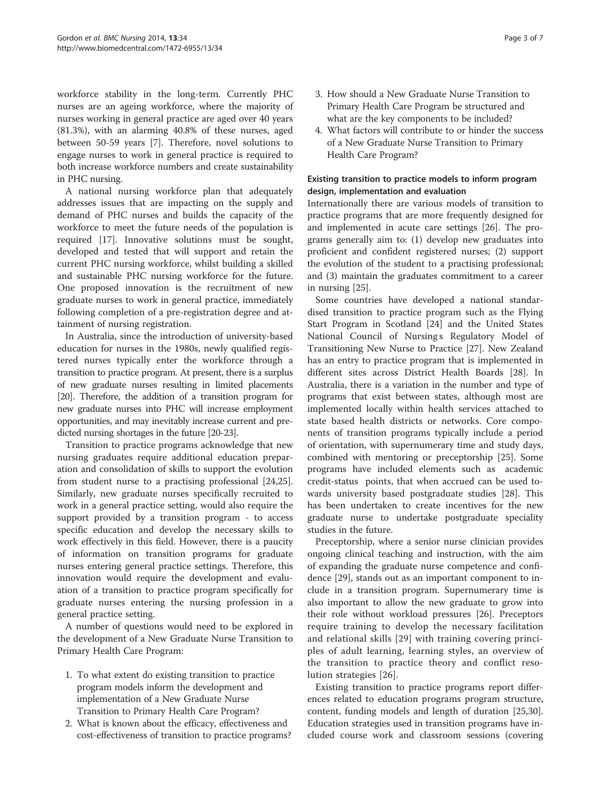workforce stability in the long-term. Currently PHC nurses are an ageing workforce, where the majority of nurses working in general practice are aged over 40 years (81.3%), with an alarming 40.8% of these nurses, aged between 50-59 years [[7\]](#page-9-0). Therefore, novel solutions to engage nurses to work in general practice is required to both increase workforce numbers and create sustainability in PHC nursing.

A national nursing workforce plan that adequately addresses issues that are impacting on the supply and demand of PHC nurses and builds the capacity of the workforce to meet the future needs of the population is required [\[17](#page-9-0)]. Innovative solutions must be sought, developed and tested that will support and retain the current PHC nursing workforce, whilst building a skilled and sustainable PHC nursing workforce for the future. One proposed innovation is the recruitment of new graduate nurses to work in general practice, immediately following completion of a pre-registration degree and attainment of nursing registration.

In Australia, since the introduction of university-based education for nurses in the 1980s, newly qualified registered nurses typically enter the workforce through a transition to practice program. At present, there is a surplus of new graduate nurses resulting in limited placements [[20](#page-9-0)]. Therefore, the addition of a transition program for new graduate nurses into PHC will increase employment opportunities, and may inevitably increase current and predicted nursing shortages in the future [\[20-23](#page-9-0)].

Transition to practice programs acknowledge that new nursing graduates require additional education preparation and consolidation of skills to support the evolution from student nurse to a practising professional [\[24,25](#page-9-0)]. Similarly, new graduate nurses specifically recruited to work in a general practice setting, would also require the support provided by a transition program - to access specific education and develop the necessary skills to work effectively in this field. However, there is a paucity of information on transition programs for graduate nurses entering general practice settings. Therefore, this innovation would require the development and evaluation of a transition to practice program specifically for graduate nurses entering the nursing profession in a general practice setting.

A number of questions would need to be explored in the development of a New Graduate Nurse Transition to Primary Health Care Program:

- 1. To what extent do existing transition to practice program models inform the development and implementation of a New Graduate Nurse Transition to Primary Health Care Program?
- 2. What is known about the efficacy, effectiveness and cost-effectiveness of transition to practice programs?
- 3. How should a New Graduate Nurse Transition to Primary Health Care Program be structured and what are the key components to be included?
- 4. What factors will contribute to or hinder the success of a New Graduate Nurse Transition to Primary Health Care Program?

#### Existing transition to practice models to inform program design, implementation and evaluation

Internationally there are various models of transition to practice programs that are more frequently designed for and implemented in acute care settings [[26\]](#page-9-0). The programs generally aim to: (1) develop new graduates into proficient and confident registered nurses; (2) support the evolution of the student to a practising professional; and (3) maintain the graduates commitment to a career in nursing [[25](#page-9-0)].

Some countries have developed a national standardised transition to practice program such as the Flying Start Program in Scotland [[24\]](#page-9-0) and the United States National Council of Nursings Regulatory Model of Transitioning New Nurse to Practice [\[27\]](#page-9-0). New Zealand has an entry to practice program that is implemented in different sites across District Health Boards [[28](#page-9-0)]. In Australia, there is a variation in the number and type of programs that exist between states, although most are implemented locally within health services attached to state based health districts or networks. Core components of transition programs typically include a period of orientation, with supernumerary time and study days, combined with mentoring or preceptorship [\[25](#page-9-0)]. Some programs have included elements such as academic credit-status points, that when accrued can be used towards university based postgraduate studies [\[28](#page-9-0)]. This has been undertaken to create incentives for the new graduate nurse to undertake postgraduate speciality studies in the future.

Preceptorship, where a senior nurse clinician provides ongoing clinical teaching and instruction, with the aim of expanding the graduate nurse competence and confidence [[29\]](#page-9-0), stands out as an important component to include in a transition program. Supernumerary time is also important to allow the new graduate to grow into their role without workload pressures [\[26\]](#page-9-0). Preceptors require training to develop the necessary facilitation and relational skills [[29](#page-9-0)] with training covering principles of adult learning, learning styles, an overview of the transition to practice theory and conflict resolution strategies [[26](#page-9-0)].

Existing transition to practice programs report differences related to education programs program structure, content, funding models and length of duration [\[25,30](#page-9-0)]. Education strategies used in transition programs have included course work and classroom sessions (covering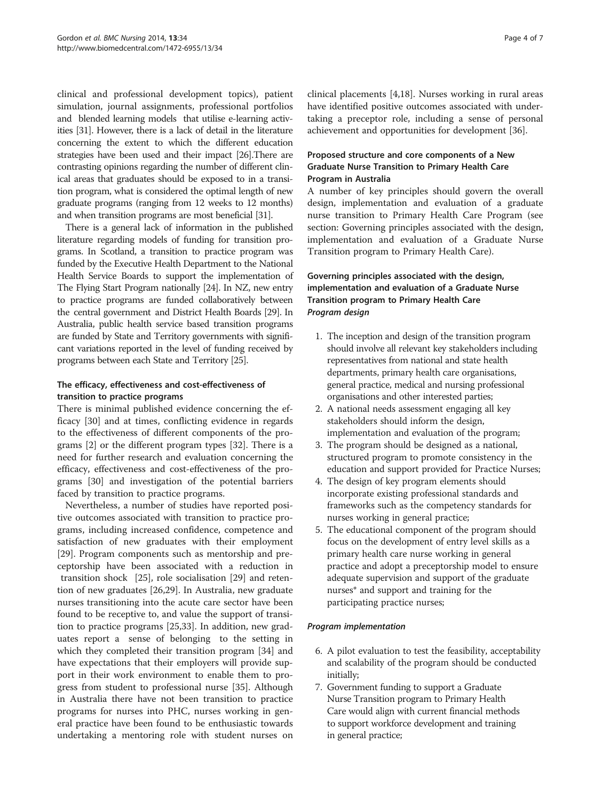clinical and professional development topics), patient simulation, journal assignments, professional portfolios and blended learning models that utilise e-learning activities [\[31\]](#page-9-0). However, there is a lack of detail in the literature concerning the extent to which the different education strategies have been used and their impact [\[26](#page-9-0)].There are contrasting opinions regarding the number of different clinical areas that graduates should be exposed to in a transition program, what is considered the optimal length of new graduate programs (ranging from 12 weeks to 12 months) and when transition programs are most beneficial [\[31](#page-9-0)].

There is a general lack of information in the published literature regarding models of funding for transition programs. In Scotland, a transition to practice program was funded by the Executive Health Department to the National Health Service Boards to support the implementation of The Flying Start Program nationally [\[24\]](#page-9-0). In NZ, new entry to practice programs are funded collaboratively between the central government and District Health Boards [[29](#page-9-0)]. In Australia, public health service based transition programs are funded by State and Territory governments with significant variations reported in the level of funding received by programs between each State and Territory [[25](#page-9-0)].

#### The efficacy, effectiveness and cost-effectiveness of transition to practice programs

There is minimal published evidence concerning the efficacy [[30\]](#page-9-0) and at times, conflicting evidence in regards to the effectiveness of different components of the programs [[2\]](#page-9-0) or the different program types [[32\]](#page-9-0). There is a need for further research and evaluation concerning the efficacy, effectiveness and cost-effectiveness of the programs [\[30\]](#page-9-0) and investigation of the potential barriers faced by transition to practice programs.

Nevertheless, a number of studies have reported positive outcomes associated with transition to practice programs, including increased confidence, competence and satisfaction of new graduates with their employment [[29\]](#page-9-0). Program components such as mentorship and preceptorship have been associated with a reduction in transition shock [[25\]](#page-9-0), role socialisation [[29\]](#page-9-0) and retention of new graduates [[26,29\]](#page-9-0). In Australia, new graduate nurses transitioning into the acute care sector have been found to be receptive to, and value the support of transition to practice programs [\[25,33\]](#page-9-0). In addition, new graduates report a sense of belonging to the setting in which they completed their transition program [[34\]](#page-9-0) and have expectations that their employers will provide support in their work environment to enable them to progress from student to professional nurse [\[35\]](#page-9-0). Although in Australia there have not been transition to practice programs for nurses into PHC, nurses working in general practice have been found to be enthusiastic towards undertaking a mentoring role with student nurses on clinical placements [\[4](#page-9-0),[18](#page-9-0)]. Nurses working in rural areas have identified positive outcomes associated with undertaking a preceptor role, including a sense of personal achievement and opportunities for development [[36\]](#page-9-0).

#### Proposed structure and core components of a New Graduate Nurse Transition to Primary Health Care Program in Australia

A number of key principles should govern the overall design, implementation and evaluation of a graduate nurse transition to Primary Health Care Program (see section: Governing principles associated with the design, implementation and evaluation of a Graduate Nurse Transition program to Primary Health Care).

#### Governing principles associated with the design, implementation and evaluation of a Graduate Nurse Transition program to Primary Health Care Program design

- 1. The inception and design of the transition program should involve all relevant key stakeholders including representatives from national and state health departments, primary health care organisations, general practice, medical and nursing professional organisations and other interested parties;
- 2. A national needs assessment engaging all key stakeholders should inform the design, implementation and evaluation of the program;
- 3. The program should be designed as a national, structured program to promote consistency in the education and support provided for Practice Nurses;
- 4. The design of key program elements should incorporate existing professional standards and frameworks such as the competency standards for nurses working in general practice;
- 5. The educational component of the program should focus on the development of entry level skills as a primary health care nurse working in general practice and adopt a preceptorship model to ensure adequate supervision and support of the graduate nurses\* and support and training for the participating practice nurses;

#### Program implementation

- 6. A pilot evaluation to test the feasibility, acceptability and scalability of the program should be conducted initially;
- 7. Government funding to support a Graduate Nurse Transition program to Primary Health Care would align with current financial methods to support workforce development and training in general practice;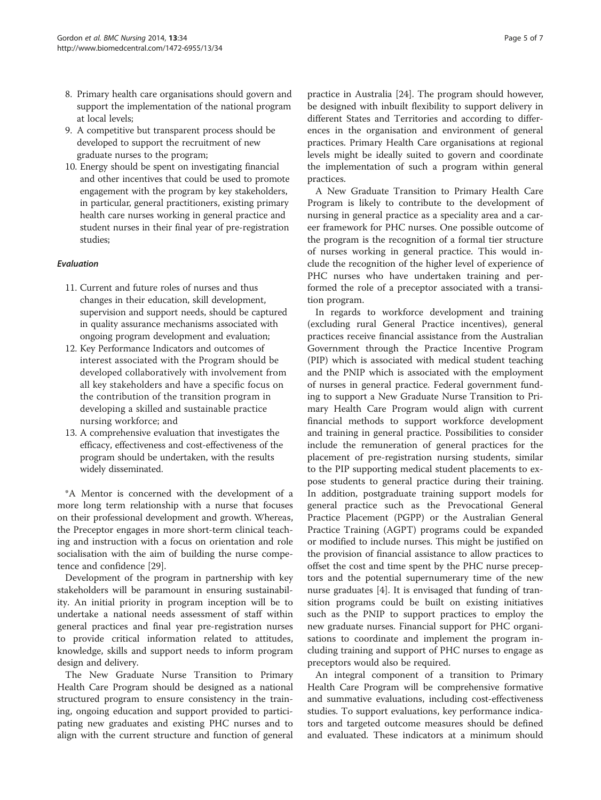- 8. Primary health care organisations should govern and support the implementation of the national program at local levels;
- 9. A competitive but transparent process should be developed to support the recruitment of new graduate nurses to the program;
- 10. Energy should be spent on investigating financial and other incentives that could be used to promote engagement with the program by key stakeholders, in particular, general practitioners, existing primary health care nurses working in general practice and student nurses in their final year of pre-registration studies;

#### Evaluation

- 11. Current and future roles of nurses and thus changes in their education, skill development, supervision and support needs, should be captured in quality assurance mechanisms associated with ongoing program development and evaluation;
- 12. Key Performance Indicators and outcomes of interest associated with the Program should be developed collaboratively with involvement from all key stakeholders and have a specific focus on the contribution of the transition program in developing a skilled and sustainable practice nursing workforce; and
- 13. A comprehensive evaluation that investigates the efficacy, effectiveness and cost-effectiveness of the program should be undertaken, with the results widely disseminated.

\*A Mentor is concerned with the development of a more long term relationship with a nurse that focuses on their professional development and growth. Whereas, the Preceptor engages in more short-term clinical teaching and instruction with a focus on orientation and role socialisation with the aim of building the nurse competence and confidence [[29](#page-9-0)].

Development of the program in partnership with key stakeholders will be paramount in ensuring sustainability. An initial priority in program inception will be to undertake a national needs assessment of staff within general practices and final year pre-registration nurses to provide critical information related to attitudes, knowledge, skills and support needs to inform program design and delivery.

The New Graduate Nurse Transition to Primary Health Care Program should be designed as a national structured program to ensure consistency in the training, ongoing education and support provided to participating new graduates and existing PHC nurses and to align with the current structure and function of general

practice in Australia [\[24](#page-9-0)]. The program should however, be designed with inbuilt flexibility to support delivery in different States and Territories and according to differences in the organisation and environment of general practices. Primary Health Care organisations at regional levels might be ideally suited to govern and coordinate the implementation of such a program within general practices.

A New Graduate Transition to Primary Health Care Program is likely to contribute to the development of nursing in general practice as a speciality area and a career framework for PHC nurses. One possible outcome of the program is the recognition of a formal tier structure of nurses working in general practice. This would include the recognition of the higher level of experience of PHC nurses who have undertaken training and performed the role of a preceptor associated with a transition program.

In regards to workforce development and training (excluding rural General Practice incentives), general practices receive financial assistance from the Australian Government through the Practice Incentive Program (PIP) which is associated with medical student teaching and the PNIP which is associated with the employment of nurses in general practice. Federal government funding to support a New Graduate Nurse Transition to Primary Health Care Program would align with current financial methods to support workforce development and training in general practice. Possibilities to consider include the remuneration of general practices for the placement of pre-registration nursing students, similar to the PIP supporting medical student placements to expose students to general practice during their training. In addition, postgraduate training support models for general practice such as the Prevocational General Practice Placement (PGPP) or the Australian General Practice Training (AGPT) programs could be expanded or modified to include nurses. This might be justified on the provision of financial assistance to allow practices to offset the cost and time spent by the PHC nurse preceptors and the potential supernumerary time of the new nurse graduates [\[4](#page-9-0)]. It is envisaged that funding of transition programs could be built on existing initiatives such as the PNIP to support practices to employ the new graduate nurses. Financial support for PHC organisations to coordinate and implement the program including training and support of PHC nurses to engage as preceptors would also be required.

An integral component of a transition to Primary Health Care Program will be comprehensive formative and summative evaluations, including cost-effectiveness studies. To support evaluations, key performance indicators and targeted outcome measures should be defined and evaluated. These indicators at a minimum should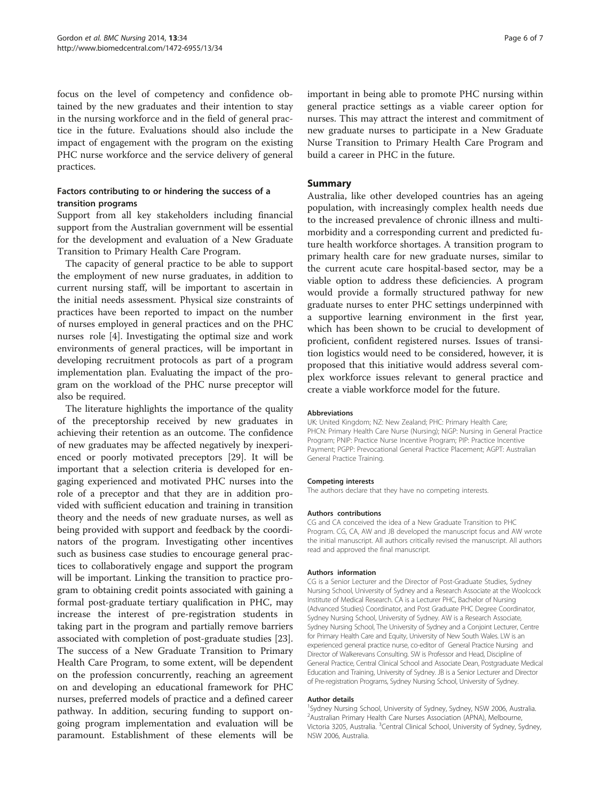focus on the level of competency and confidence obtained by the new graduates and their intention to stay in the nursing workforce and in the field of general practice in the future. Evaluations should also include the impact of engagement with the program on the existing PHC nurse workforce and the service delivery of general practices.

#### Factors contributing to or hindering the success of a transition programs

Support from all key stakeholders including financial support from the Australian government will be essential for the development and evaluation of a New Graduate Transition to Primary Health Care Program.

The capacity of general practice to be able to support the employment of new nurse graduates, in addition to current nursing staff, will be important to ascertain in the initial needs assessment. Physical size constraints of practices have been reported to impact on the number of nurses employed in general practices and on the PHC nurses role [\[4](#page-9-0)]. Investigating the optimal size and work environments of general practices, will be important in developing recruitment protocols as part of a program implementation plan. Evaluating the impact of the program on the workload of the PHC nurse preceptor will also be required.

The literature highlights the importance of the quality of the preceptorship received by new graduates in achieving their retention as an outcome. The confidence of new graduates may be affected negatively by inexperienced or poorly motivated preceptors [[29\]](#page-9-0). It will be important that a selection criteria is developed for engaging experienced and motivated PHC nurses into the role of a preceptor and that they are in addition provided with sufficient education and training in transition theory and the needs of new graduate nurses, as well as being provided with support and feedback by the coordinators of the program. Investigating other incentives such as business case studies to encourage general practices to collaboratively engage and support the program will be important. Linking the transition to practice program to obtaining credit points associated with gaining a formal post-graduate tertiary qualification in PHC, may increase the interest of pre-registration students in taking part in the program and partially remove barriers associated with completion of post-graduate studies [\[23](#page-9-0)]. The success of a New Graduate Transition to Primary Health Care Program, to some extent, will be dependent on the profession concurrently, reaching an agreement on and developing an educational framework for PHC nurses, preferred models of practice and a defined career pathway. In addition, securing funding to support ongoing program implementation and evaluation will be paramount. Establishment of these elements will be

important in being able to promote PHC nursing within general practice settings as a viable career option for nurses. This may attract the interest and commitment of new graduate nurses to participate in a New Graduate Nurse Transition to Primary Health Care Program and build a career in PHC in the future.

#### Summary

Australia, like other developed countries has an ageing population, with increasingly complex health needs due to the increased prevalence of chronic illness and multimorbidity and a corresponding current and predicted future health workforce shortages. A transition program to primary health care for new graduate nurses, similar to the current acute care hospital-based sector, may be a viable option to address these deficiencies. A program would provide a formally structured pathway for new graduate nurses to enter PHC settings underpinned with a supportive learning environment in the first year, which has been shown to be crucial to development of proficient, confident registered nurses. Issues of transition logistics would need to be considered, however, it is proposed that this initiative would address several complex workforce issues relevant to general practice and create a viable workforce model for the future.

#### Abbreviations

UK: United Kingdom; NZ: New Zealand; PHC: Primary Health Care; PHCN: Primary Health Care Nurse (Nursing); NiGP: Nursing in General Practice Program; PNIP: Practice Nurse Incentive Program; PIP: Practice Incentive Payment; PGPP: Prevocational General Practice Placement; AGPT: Australian General Practice Training.

#### Competing interests

The authors declare that they have no competing interests.

#### Authors contributions

CG and CA conceived the idea of a New Graduate Transition to PHC Program. CG, CA, AW and JB developed the manuscript focus and AW wrote the initial manuscript. All authors critically revised the manuscript. All authors read and approved the final manuscript.

#### Authors information

CG is a Senior Lecturer and the Director of Post-Graduate Studies, Sydney Nursing School, University of Sydney and a Research Associate at the Woolcock Institute of Medical Research. CA is a Lecturer PHC, Bachelor of Nursing (Advanced Studies) Coordinator, and Post Graduate PHC Degree Coordinator, Sydney Nursing School, University of Sydney. AW is a Research Associate, Sydney Nursing School, The University of Sydney and a Conjoint Lecturer, Centre for Primary Health Care and Equity, University of New South Wales. LW is an experienced general practice nurse, co-editor of General Practice Nursing and Director of Walkerevans Consulting. SW is Professor and Head, Discipline of General Practice, Central Clinical School and Associate Dean, Postgraduate Medical Education and Training, University of Sydney. JB is a Senior Lecturer and Director of Pre-registration Programs, Sydney Nursing School, University of Sydney.

#### Author details

<sup>1</sup>Sydney Nursing School, University of Sydney, Sydney, NSW 2006, Australia. 2 Australian Primary Health Care Nurses Association (APNA), Melbourne, Victoria 3205, Australia. <sup>3</sup>Central Clinical School, University of Sydney, Sydney, NSW 2006, Australia.